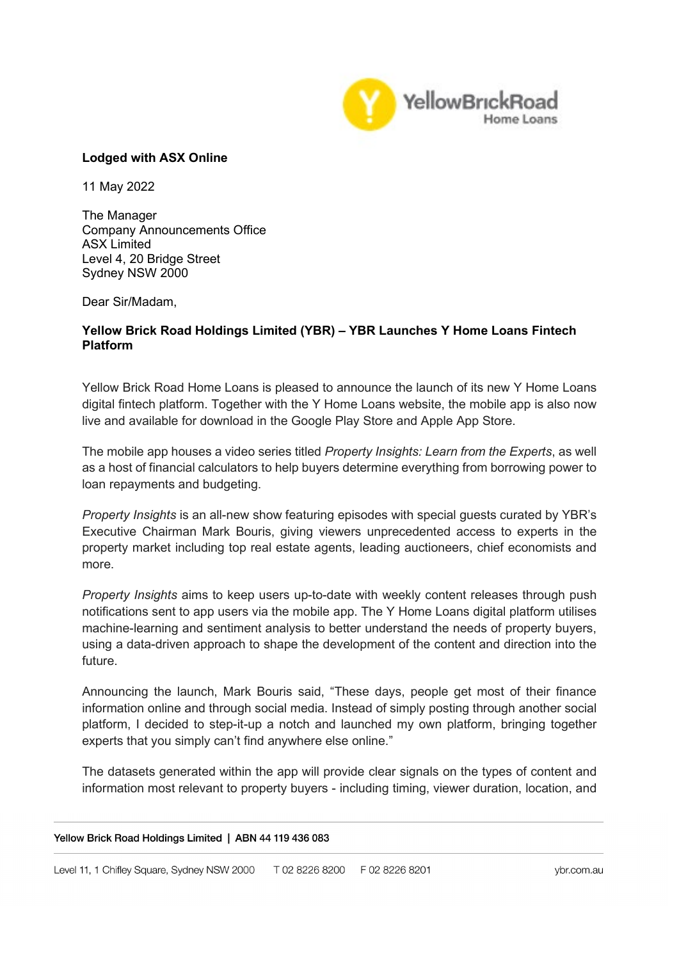

## **Lodged with ASX Online**

11 May 2022

The Manager Company Announcements Office ASX Limited Level 4, 20 Bridge Street Sydney NSW 2000

Dear Sir/Madam,

## **Yellow Brick Road Holdings Limited (YBR) – YBR Launches Y Home Loans Fintech Platform**

Yellow Brick Road Home Loans is pleased to announce the launch of its new Y Home Loans digital fintech platform. Together with the Y Home Loans website, the mobile app is also now live and available for download in the Google Play Store and Apple App Store.

The mobile app houses a video series titled *Property Insights: Learn from the Experts*, as well as a host of financial calculators to help buyers determine everything from borrowing power to loan repayments and budgeting.

*Property Insights* is an all-new show featuring episodes with special guests curated by YBR's Executive Chairman Mark Bouris, giving viewers unprecedented access to experts in the property market including top real estate agents, leading auctioneers, chief economists and more.

*Property Insights* aims to keep users up-to-date with weekly content releases through push notifications sent to app users via the mobile app. The Y Home Loans digital platform utilises machine-learning and sentiment analysis to better understand the needs of property buyers, using a data-driven approach to shape the development of the content and direction into the future.

Announcing the launch, Mark Bouris said, "These days, people get most of their finance information online and through social media. Instead of simply posting through another social platform, I decided to step-it-up a notch and launched my own platform, bringing together experts that you simply can't find anywhere else online."

The datasets generated within the app will provide clear signals on the types of content and information most relevant to property buyers - including timing, viewer duration, location, and

## Yellow Brick Road Holdings Limited | ABN 44 119 436 083

ybr.com.au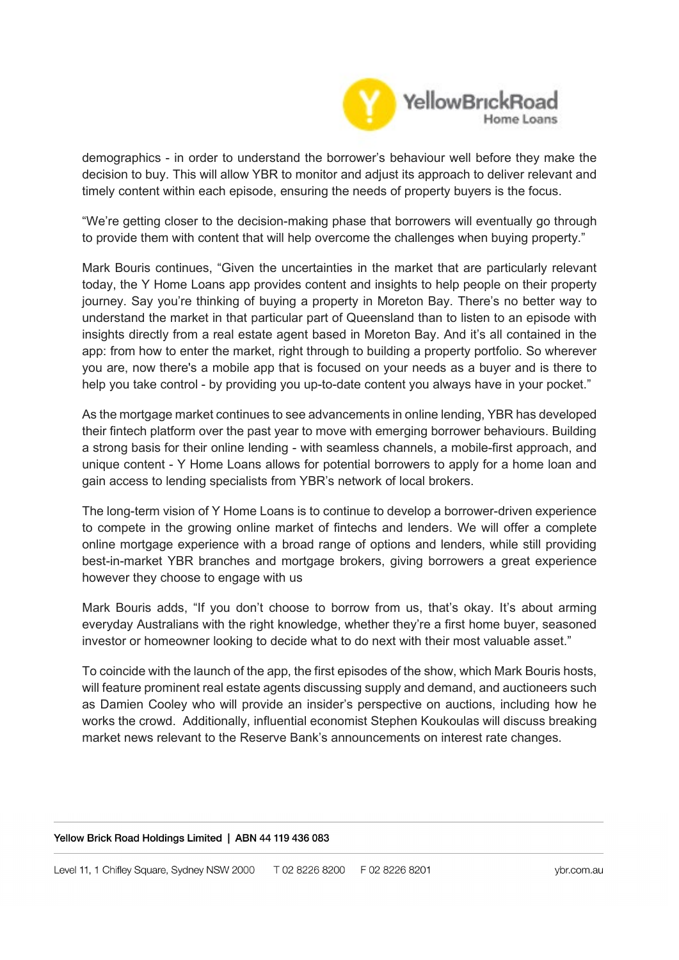

demographics - in order to understand the borrower's behaviour well before they make the decision to buy. This will allow YBR to monitor and adjust its approach to deliver relevant and timely content within each episode, ensuring the needs of property buyers is the focus.

"We're getting closer to the decision-making phase that borrowers will eventually go through to provide them with content that will help overcome the challenges when buying property."

Mark Bouris continues, "Given the uncertainties in the market that are particularly relevant today, the Y Home Loans app provides content and insights to help people on their property journey. Say you're thinking of buying a property in Moreton Bay. There's no better way to understand the market in that particular part of Queensland than to listen to an episode with insights directly from a real estate agent based in Moreton Bay. And it's all contained in the app: from how to enter the market, right through to building a property portfolio. So wherever you are, now there's a mobile app that is focused on your needs as a buyer and is there to help you take control - by providing you up-to-date content you always have in your pocket."

As the mortgage market continues to see advancements in online lending, YBR has developed their fintech platform over the past year to move with emerging borrower behaviours. Building a strong basis for their online lending - with seamless channels, a mobile-first approach, and unique content - Y Home Loans allows for potential borrowers to apply for a home loan and gain access to lending specialists from YBR's network of local brokers.

The long-term vision of Y Home Loans is to continue to develop a borrower-driven experience to compete in the growing online market of fintechs and lenders. We will offer a complete online mortgage experience with a broad range of options and lenders, while still providing best-in-market YBR branches and mortgage brokers, giving borrowers a great experience however they choose to engage with us

Mark Bouris adds, "If you don't choose to borrow from us, that's okay. It's about arming everyday Australians with the right knowledge, whether they're a first home buyer, seasoned investor or homeowner looking to decide what to do next with their most valuable asset."

To coincide with the launch of the app, the first episodes of the show, which Mark Bouris hosts, will feature prominent real estate agents discussing supply and demand, and auctioneers such as Damien Cooley who will provide an insider's perspective on auctions, including how he works the crowd. Additionally, influential economist Stephen Koukoulas will discuss breaking market news relevant to the Reserve Bank's announcements on interest rate changes.

## Yellow Brick Road Holdings Limited | ABN 44 119 436 083